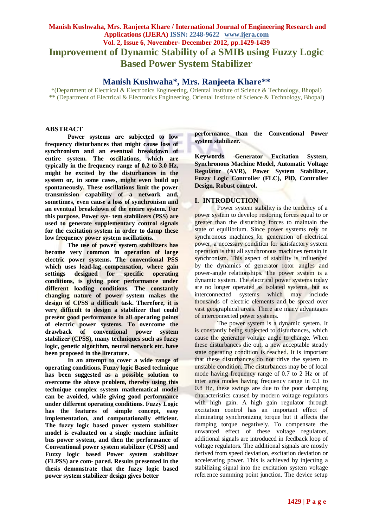# **Manish Kushwaha, Mrs. Ranjeeta Khare / International Journal of Engineering Research and Applications (IJERA) ISSN: 2248-9622 www.ijera.com Vol. 2, Issue 6, November- December 2012, pp.1429-1439 Improvement of Dynamic Stability of a SMIB using Fuzzy Logic Based Power System Stabilizer**

# **Manish Kushwaha\*, Mrs. Ranjeeta Khare\*\***

\*(Department of Electrical & Electronics Engineering, Oriental Institute of Science & Technology, Bhopal) \*\* (Department of Electrical & Electronics Engineering, Oriental Institute of Science & Technology, Bhopal)

# **ABSTRACT**

**Power systems are subjected to low frequency disturbances that might cause loss of synchronism and an eventual breakdown of entire system. The oscillations, which are typically in the frequency range of 0.2 to 3.0 Hz, might be excited by the disturbances in the system or, in some cases, might even build up spontaneously. These oscillations limit the power transmission capability of a network and, sometimes, even cause a loss of synchronism and an eventual breakdown of the entire system. For this purpose, Power sys- tem stabilizers (PSS) are used to generate supplementary control signals for the excitation system in order to damp these low frequency power system oscillations.**

**The use of power system stabilizers has become very common in operation of large electric power systems. The conventional PSS which uses lead-lag compensation, where gain settings designed for specific operating conditions, is giving poor performance under different loading conditions. The constantly changing nature of power system makes the design of CPSS a difficult task. Therefore, it is very difficult to design a stabilizer that could present good performance in all operating points of electric power systems. To overcome the drawback of conventional power system stabilizer (CPSS), many techniques such as fuzzy logic, genetic algorithm, neural network etc. have been proposed in the literature.**

**In an attempt to cover a wide range of operating conditions, Fuzzy logic Based technique has been suggested as a possible solution to overcome the above problem, thereby using this technique complex system mathematical model can be avoided, while giving good performance under different operating conditions. Fuzzy Logic has the features of simple concept, easy implementation, and computationally efficient. The fuzzy logic based power system stabilizer model is evaluated on a single machine infinite bus power system, and then the performance of Conventional power system stabilizer (CPSS) and Fuzzy logic based Power system stabilizer (FLPSS) are com- pared. Results presented in the thesis demonstrate that the fuzzy logic based power system stabilizer design gives better** 

**performance than the Conventional Power system stabilizer.**

**Keywords -Generator Excitation System, Synchronous Machine Model, Automatic Voltage Regulator (AVR), Power System Stabilizer, Fuzzy Logic Controller (FLC), PID, Controller Design, Robust control.**

## **I. INTRODUCTION**

Power system stability is the tendency of a power system to develop restoring forces equal to or greater than the disturbing forces to maintain the state of equilibrium. Since power systems rely on synchronous machines for generation of electrical power, a necessary condition for satisfactory system operation is that all synchronous machines remain in synchronism. This aspect of stability is influenced by the dynamics of generator rotor angles and power-angle relationships. The power system is a dynamic system. The electrical power systems today are no longer operated as isolated systems, but as interconnected systems which may include thousands of electric elements and be spread over vast geographical areas. There are many advantages of interconnected power systems.

The power system is a dynamic system. It is constantly being subjected to disturbances, which cause the generator voltage angle to change. When these disturbances die out, a new acceptable steady state operating condition is reached. It is important that these disturbances do not drive the system to unstable condition. The disturbances may be of local mode having frequency range of 0.7 to 2 Hz or of inter area modes having frequency range in 0.1 to 0.8 Hz, these swings are due to the poor damping characteristics caused by modern voltage regulators with high gain. A high gain regulator through excitation control has an important effect of eliminating synchronizing torque but it affects the damping torque negatively. To compensate the unwanted effect of these voltage regulators, additional signals are introduced in feedback loop of voltage regulators. The additional signals are mostly derived from speed deviation, excitation deviation or accelerating power. This is achieved by injecting a stabilizing signal into the excitation system voltage reference summing point junction. The device setup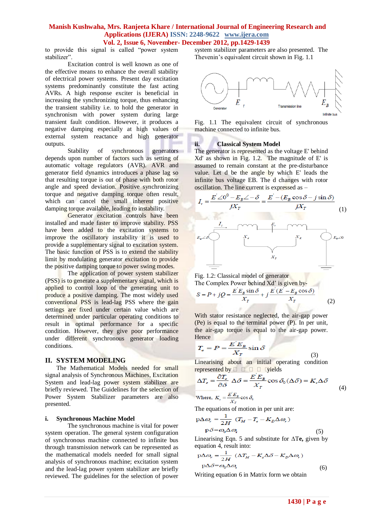to provide this signal is called "power system stabilizer".

Excitation control is well known as one of the effective means to enhance the overall stability of electrical power systems. Present day excitation systems predominantly constitute the fast acting AVRs. A high response exciter is beneficial in increasing the synchronizing torque, thus enhancing the transient stability i.e. to hold the generator in synchronism with power system during large transient fault condition. However, it produces a negative damping especially at high values of external system reactance and high generator outputs.

Stability of synchronous generators depends upon number of factors such as setting of automatic voltage regulators (AVR). AVR and generator field dynamics introduces a phase lag so that resulting torque is out of phase with both rotor angle and speed deviation. Positive synchronizing torque and negative damping torque often result, which can cancel the small inherent positive damping torque available, leading to instability.

Generator excitation controls have been installed and made faster to improve stability. PSS have been added to the excitation systems to improve the oscillatory instability it is used to provide a supplementary signal to excitation system. The basic function of PSS is to extend the stability limit by modulating generator excitation to provide the positive damping torque to power swing modes.

The application of power system stabilizer (PSS) is to generate a supplementary signal, which is applied to control loop of the generating unit to produce a positive damping. The most widely used conventional PSS is lead-lag PSS where the gain settings are fixed under certain value which are determined under particular operating conditions to result in optimal performance for a specific condition. However, they give poor performance under different synchronous generator loading conditions.

#### **II. SYSTEM MODELING**

The Mathematical Models needed for small signal analysis of Synchronous Machines, Excitation System and lead-lag power system stabilizer are briefly reviewed. The Guidelines for the selection of Power System Stabilizer parameters are also presented.

#### **i. Synchronous Machine Model**

The synchronous machine is vital for power system operation. The general system configuration of synchronous machine connected to infinite bus through transmission network can be represented as the mathematical models needed for small signal analysis of synchronous machine; excitation system and the lead-lag power system stabilizer are briefly reviewed. The guidelines for the selection of power system stabilizer parameters are also presented. The Thevenin's equivalent circuit shown in Fig. 1.1



Fig. 1.1 The equivalent circuit of synchronous machine connected to infinite bus.

#### **ii. Classical System Model**

The generator is represented as the voltage E' behind Xd' as shown in Fig. 1.2. The magnitude of E' is assumed to remain constant at the pre-disturbance value. Let d be the angle by which E' leads the infinite bus voltage EB. The d changes with rotor oscillation. The line current is expressed as –





With stator resistance neglected, the air-gap power (Pe) is equal to the terminal power (P). In per unit, the air-gap torque is equal to the air-gap power. Hence

$$
T_e = P = \frac{E^{\dagger} E_B}{X_{\tau}} \sin \delta
$$

 (3) Linearising about an initial operating condition represented by  $\Box$   $\Box$   $\Box$   $\Box$   $\Box$  vields

$$
\Delta T_e = \frac{\partial T_e}{\partial \delta} \Delta \delta = \frac{E^{\prime} E_B}{X_T} \cos \delta_0 (\Delta \delta) = K_z \Delta \delta
$$
\nWhere,  $K_z = \frac{E^{\prime} E_B}{X_T} \cos \delta_0$ 

\n(4)

The equations of motion in per unit are:

$$
p\Delta\omega_r = \frac{1}{2H} (T_M - T_e - K_D\Delta\omega_r)
$$
  
 
$$
p\delta = \omega_0 \Delta\omega_r
$$
 (5)

Linearising Eqn. 5 and substitute for ∆T**e,** given by equation 4, result into:

$$
p\Delta\omega_r = \frac{1}{2H} (\Delta T_M - K_s \Delta \delta - K_D \Delta \omega_r)
$$
  

$$
p\Delta \delta = \omega_0 \Delta \omega_r
$$
 (6)

Writing equation 6 in Matrix form we obtain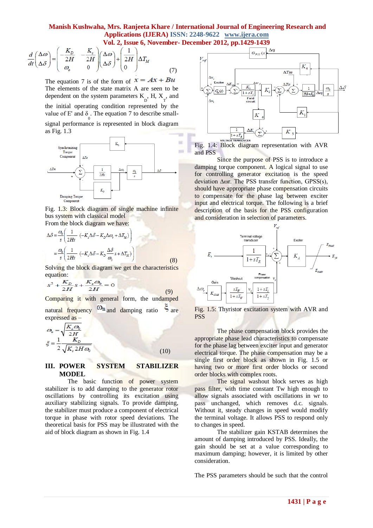$$
\frac{d}{dt} \begin{pmatrix} \Delta \omega \\ \Delta \delta \end{pmatrix} = \begin{pmatrix} -\frac{K_D}{2H} & -\frac{K_s}{2H} \\ \omega_o & 0 \end{pmatrix} \begin{pmatrix} \Delta \omega \\ \Delta \delta \end{pmatrix} + \begin{pmatrix} \frac{1}{2H} \\ 0 \end{pmatrix} \Delta T_M \tag{7}
$$

The equation 7 is of the form of  $x = Ax + Bu$ The elements of the state matrix A are seen to be dependent on the system parameters  $K_{D}^{H}$ , H,  $X_{T}^{H}$ , and the initial operating condition represented by the value of  $E'$  and  $\delta$ . The equation 7 to describe small- $\mathbf{0}$ 

signal performance is represented in block diagram as Fig. 1.3



Fig. 1.3: Block diagram of single machine infinite bus system with classical model From the block diagram we have:

$$
\Delta \delta = \frac{\omega_0}{s} \left( \frac{1}{2Hs} \left( -K_s \Delta \delta - K_D \Delta \omega_r + \Delta T_M \right) \right)
$$
  
=  $\frac{\omega_0}{s} \left( \frac{1}{2Hs} \left( -K_s \Delta \delta - K_D \frac{\Delta \delta}{\omega_0} s + \Delta T_M \right) \right)$  (8)

Solving the block diagram we get the characteristics equation:

$$
s^{2} + \frac{K_{D}}{2H}s + \frac{K_{s}\omega_{0}}{2H} = 0
$$
\n(9)

Comparing it with general form, the undamped natural frequency  $\omega_n$  and damping ratio  $\zeta$  are expressed as –

$$
\omega_n = \sqrt{\frac{K_z \omega_0}{2H}}
$$
  

$$
\xi = \frac{1}{2} \frac{K_D}{\sqrt{K_z 2H\omega_0}}
$$
(10)

# **III. POWER SYSTEM STABILIZER MODEL**

The basic function of power system stabilizer is to add damping to the generator rotor oscillations by controlling its excitation using auxiliary stabilizing signals. To provide damping, the stabilizer must produce a component of electrical torque in phase with rotor speed deviations. The theoretical basis for PSS may be illustrated with the aid of block diagram as shown in Fig. 1.4



Fig. 1.4: Block diagram representation with AVR and PSS

Since the purpose of PSS is to introduce a damping torque component. A logical signal to use for controlling generator excitation is the speed deviation ∆ωr. The PSS transfer function, GPSS(s), should have appropriate phase compensation circuits to compensate for the phase lag between exciter input and electrical torque. The following is a brief description of the basis for the PSS configuration and consideration in selection of parameters.



Fig. 1.5: Thyristor excitation system with AVR and PSS

The phase compensation block provides the appropriate phase lead characteristics to compensate for the phase lag between exciter input and generator electrical torque. The phase compensation may be a single first order block as shown in Fig. 1.5 or having two or more first order blocks or second order blocks with complex roots.

The signal washout block serves as high pass filter, with time constant Tw high enough to allow signals associated with oscillations in wr to pass unchanged, which removes d.c. signals. Without it, steady changes in speed would modify the terminal voltage. It allows PSS to respond only to changes in speed.

The stabilizer gain KSTAB determines the amount of damping introduced by PSS. Ideally, the gain should be set at a value corresponding to maximum damping; however, it is limited by other consideration.

The PSS parameters should be such that the control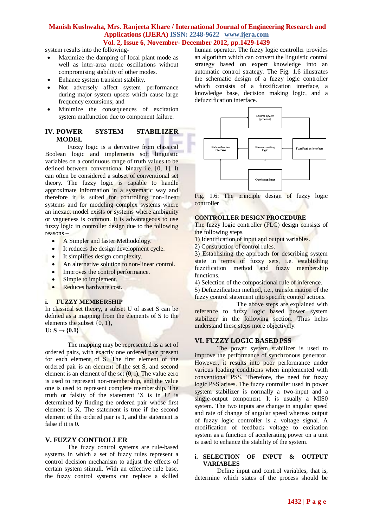system results into the following-

- Maximize the damping of local plant mode as well as inter-area mode oscillations without compromising stability of other modes.
- Enhance system transient stability.
- Not adversely affect system performance during major system upsets which cause large frequency excursions; and
- Minimize the consequences of excitation system malfunction due to component failure.

# **IV. POWER SYSTEM STABILIZER MODEL**

Fuzzy logic is a derivative from classical Boolean logic and implements soft linguistic variables on a continuous range of truth values to be defined between conventional binary i.e. [0, 1]. It can often be considered a subset of conventional set theory. The fuzzy logic is capable to handle approximate information in a systematic way and therefore it is suited for controlling non-linear systems and for modeling complex systems where an inexact model exists or systems where ambiguity or vagueness is common. It is advantageous to use fuzzy logic in controller design due to the following reasons –

- A Simpler and faster Methodology.
- It reduces the design development cycle.
- It simplifies design complexity.
- An alternative solution to non-linear control.
- Improves the control performance.
- Simple to implement.
- Reduces hardware cost.

#### **i. FUZZY MEMBERSHIP**

In classical set theory, a subset U of asset S can be defined as a mapping from the elements of S to the elements the subset {0, 1},

 $U: S \to \{0,1\}$ 

The mapping may be represented as a set of ordered pairs, with exactly one ordered pair present for each element of S. The first element of the ordered pair is an element of the set S, and second element is an element of the set (0, l). The value zero is used to represent non-membership, and the value one is used to represent complete membership. The truth or falsity of the statement 'X is in U' is determined by finding the ordered pair whose first element is X. The statement is true if the second element of the ordered pair is 1, and the statement is false if it is 0.

#### **V. FUZZY CONTROLLER**

The fuzzy control systems are rule-based systems in which a set of fuzzy rules represent a control decision mechanism to adjust the effects of certain system stimuli. With an effective rule base, the fuzzy control systems can replace a skilled

human operator. The fuzzy logic controller provides an algorithm which can convert the linguistic control strategy based on expert knowledge into an automatic control strategy. The Fig. 1.6 illustrates the schematic design of a fuzzy logic controller which consists of a fuzzification interface, a knowledge base, decision making logic, and a defuzzification interface.



Fig. 1.6: The principle design of fuzzy logic controller

## **CONTROLLER DESIGN PROCEDURE**

The fuzzy logic controller (FLC) design consists of the following steps.

- 1) Identification of input and output variables.
- 2) Construction of control rules.

3) Establishing the approach for describing system state in terms of fuzzy sets, i.e. establishing fuzzification method and fuzzy membership functions.

4) Selection of the compositional rule of inference.

5) Defuzzification method, i.e., transformation of the fuzzy control statement into specific control actions.

 The above steps are explained with reference to fuzzy logic based power system stabilizer in the following section. Thus helps understand these steps more objectively.

# **VI. FUZZY LOGIC BASED PSS**

The power system stabilizer is used to improve the performance of synchronous generator. However, it results into poor performance under various loading conditions when implemented with conventional PSS. Therefore, the need for fuzzy logic PSS arises. The fuzzy controller used in power system stabilizer is normally a two-input and a single-output component. It is usually a MISO system. The two inputs are change in angular speed and rate of change of angular speed whereas output of fuzzy logic controller is a voltage signal. A modification of feedback voltage to excitation system as a function of accelerating power on a unit is used to enhance the stability of the system.

#### **i. SELECTION OF INPUT & OUTPUT VARIABLES**

Define input and control variables, that is, determine which states of the process should be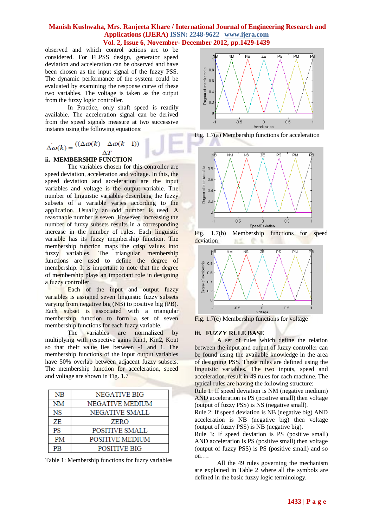observed and which control actions arc to be considered. For FLPSS design, generator speed deviation and acceleration can be observed and have been chosen as the input signal of the fuzzy PSS. The dynamic performance of the system could be evaluated by examining the response curve of these two variables. The voltage is taken as the output from the fuzzy logic controller.

In Practice, only shaft speed is readily available. The acceleration signal can be derived from the speed signals measure at two successive instants using the following equations:

$$
\Delta \omega(k) = \frac{((\Delta \omega(k) - \Delta \omega(k-1))}{\Delta T}
$$

## **ii. MEMBERSHIP FUNCTION**

The variables chosen for this controller are speed deviation, acceleration and voltage. In this, the speed deviation and acceleration are the input variables and voltage is the output variable. The number of linguistic variables describing the fuzzy subsets of a variable varies according to the application. Usually an odd number is used. A reasonable number is seven. However, increasing the number of fuzzy subsets results in a corresponding increase in the number of rules. Each linguistic variable has its fuzzy membership function. The membership function maps the crisp values into fuzzy variables. The triangular membership functions are used to define the degree of membership. It is important to note that the degree of membership plays an important role in designing a fuzzy controller.

Each of the input and output fuzzy variables is assigned seven linguistic fuzzy subsets varying from negative big (NB) to positive big (PB). Each subset is associated with a triangular membership function to form a set of seven membership functions for each fuzzy variable.

The variables are normalized by multiplying with respective gains Kin1, Kin2, Kout so that their value lies between -1 and 1. The membership functions of the input output variables have 50% overlap between adjacent fuzzy subsets. The membership function for acceleration, speed and voltage are shown in Fig. 1.7

| NB        | NEGATIVE BIG           |
|-----------|------------------------|
| NM        | NEGATIVE MEDIUM        |
| <b>NS</b> | <b>NEGATIVE SMALL</b>  |
| ZE        | <b>ZERO</b>            |
| PS        | POSITIVE SMALL         |
| PM        | <b>POSITIVE MEDIUM</b> |
| ÞВ        | POSITIVE BIG           |

Table 1: Membership functions for fuzzy variables



Fig. 1.7(a) Membership functions for acceleration







Fig. 1.7(c) Membership functions for voltage

#### **iii. FUZZY RULE BASE**

A set of rules which define the relation between the input and output of fuzzy controller can be found using the available knowledge in the area of designing PSS. These rules are defined using the linguistic variables. The two inputs, speed and acceleration, result in 49 rules for each machine. The typical rules are having the following structure:

Rule 1: If speed deviation is NM (negative medium) AND acceleration is PS (positive small) then voltage (output of fuzzy PSS) is NS (negative small).

Rule 2: If speed deviation is NB (negative big) AND acceleration is NB (negative big) then voltage (output of fuzzy PSS) is NB (negative big).

Rule 3: If speed deviation is PS (positive small) AND acceleration is PS (positive small) then voltage (output of fuzzy PSS) is PS (positive small) and so on….

All the 49 rules governing the mechanism are explained in Table 2 where all the symbols are defined in the basic fuzzy logic terminology.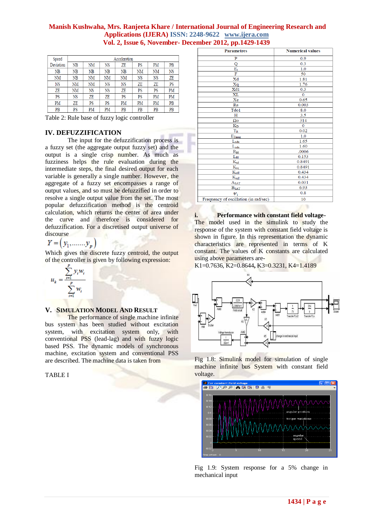| Speed     | Acceleration |    |    |    |    |    |           |
|-----------|--------------|----|----|----|----|----|-----------|
| Deviation | NB           | ΝM | NS | ΖE | PS | PM | PB        |
| NB        | NB           | NB | NB | NB | NM | NM | <b>NS</b> |
| NM        | NB           | NΜ | NM | NM | NS | NS | ZE        |
| NS        | NM           | NΜ | NS | NS | ZE | ZΕ | PS        |
| ZE        | NM           | NS | NS | ZE | PS | PS | PM        |
| PS        | NS           | ZE | ZE | PS | PS | PM | PM        |
| PM        | ΖE           | PS | PS | PM | PM | PM | PB        |
| PB        | PS           | PM | PM | PB | PB | PB | PB        |

Table 2: Rule base of fuzzy logic controller

## **IV. DEFUZZIFICATION**

The input for the defuzzification process is a fuzzy set (the aggregate output fuzzy set) and the output is a single crisp number. As much as fuzziness helps the rule evaluation during the intermediate steps, the final desired output for each variable is generally a single number. However, the aggregate of a fuzzy set encompasses a range of output values, and so must be defuzzified in order to resolve a single output value from the set. The most popular defuzzification method is the centroid calculation, which returns the center of area under the curve and therefore is considered for defuzzification. For a discretised output universe of

discourse<br> $Y = (y_1, \dots, y_p)$ 

Which gives the discrete fuzzy centroid, the output of the controller is given by following expression:

$$
u_k = \frac{\sum_{i=1}^{r} y_i w_i}{\sum_{i=1}^{p} w_i}
$$

#### **V. SIMULATION MODEL AND RESULT**

The performance of single machine infinite bus system has been studied without excitation system, with excitation system only, with conventional PSS (lead-lag) and with fuzzy logic based PSS. The dynamic models of synchronous machine, excitation system and conventional PSS are described. The machine data is taken from

TABLE I

| <b>Parametres</b>                     | <b>Numerical values</b> |  |  |
|---------------------------------------|-------------------------|--|--|
| P                                     | 0.9                     |  |  |
| Q                                     | 0.3                     |  |  |
| $\mathbf{E}_t$                        | 1.0                     |  |  |
| F                                     | 50                      |  |  |
| Xd                                    | 1.81                    |  |  |
| Xq                                    | 1.76                    |  |  |
| Xd1                                   | 0.3                     |  |  |
| <b>XL</b>                             | $\overline{0}$          |  |  |
| Xe                                    | 0.65                    |  |  |
| Ra                                    | 0.003                   |  |  |
| Tdo1                                  | 8.0                     |  |  |
| H                                     | 3.5                     |  |  |
| $\Omega$ <sub>0</sub>                 | 314                     |  |  |
| $K_D$                                 | $\Omega$                |  |  |
| $\rm T_R$                             | 0.02                    |  |  |
| $E_{Tmag}$                            | 1.0                     |  |  |
| $L_{\text{adu}}$                      | 1.65                    |  |  |
| $L_{\text{adu}}$                      | 1.60                    |  |  |
| $\mathbf{R}_{\text{fd}}$              | .0006                   |  |  |
| $L_{\rm fid}$                         | 0.153                   |  |  |
| $\overline{\mathrm{K}}_{\mathrm{sd}}$ | 0.8491                  |  |  |
| $K_{sq}$                              | 0.8491                  |  |  |
| $K_{sdI}$                             | 0.434                   |  |  |
| $\overline{\mathbf{K}}_{\text{sqI}}$  | 0.434                   |  |  |
| ASAT                                  | 0.031                   |  |  |
| $B_{SAT}$                             | 6.93                    |  |  |
| $\psi_1$                              | 0.8                     |  |  |
| Frequency of oscillation (in rad/sec) | 10                      |  |  |

**i. Performance with constant field voltage-**

The model used in the simulink to study the response of the system with constant field voltage is shown in figure. In this representation the dynamic characteristics are represented in terms of K constant. The values of K constants are calculated using above parameters are-

K1=0.7636, K2=0.8644**,** K3=0.3231, K4=1.4189



Fig 1.8: Simulink model for simulation of single machine infinite bus System with constant field voltage.



Fig 1.9: System response for a 5% change in mechanical input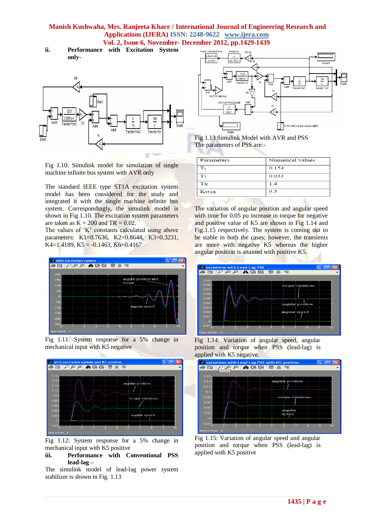**ii. Performance with Excitation System only-**



Fig 1.10: Simulink model for simulation of single machine infinite bus system with AVR only

The standard IEEE type ST1A excitation system model has been considered for the study and integrated it with the single machine infinite bus system. Correspondingly, the simulink model is shown in Fig 1.10. The excitation system parameters are taken as  $K = 200$  and  $TR = 0.02$ .

The values of 'K' constants calculated using above parameters: K1=0.7636, K2=0.8644, K3=0.3231, K4=1.4189, K5 =  $-0.1463$ , K6=0.4167







Fig 1.12: System response for a 5% change in mechanical input with K5 positive



The simulink model of lead-lag power system stabilizer is shown in Fig. 1.13



Fig 1.13 Simulink Model with AVR and PSS The parameters of PSS are:-

| Parameters     | Numerical values |  |  |
|----------------|------------------|--|--|
| т.             | 0.154            |  |  |
| $\mathbf{T}_2$ | 0.033            |  |  |
| $T_{W}$        | 1.4              |  |  |
| <b>KSTAB</b>   | 9.5              |  |  |

The variation of angular position and angular speed with time for 0.05 pu increase in torque for negative and positive value of K5 are shown in Fig 1.14 and Fig.1.15 respectively. The system is coming out to be stable in both the cases; however, the transients are more with negative K5 whereas the higher angular position is attained with positive K5.



Fig 1.14: Variation of angular speed, angular position and torque when PSS (lead-lag) is



Fig 1.15: Variation of angular speed and angular position and torque when PSS (lead-lag) is applied with K5 positive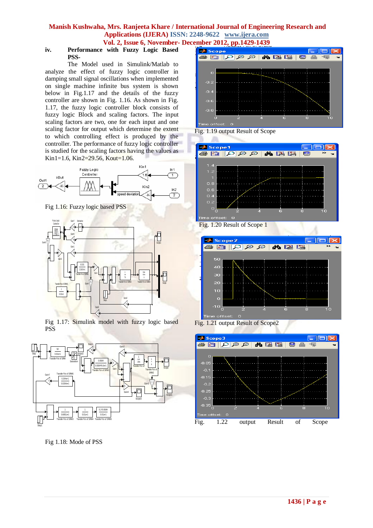# **iv. Performance with Fuzzy Logic Based PSS-**

The Model used in Simulink/Matlab to analyze the effect of fuzzy logic controller in damping small signal oscillations when implemented on single machine infinite bus system is shown below in Fig.1.17 and the details of the fuzzy controller are shown in Fig. 1.16. As shown in Fig. 1.17, the fuzzy logic controller block consists of fuzzy logic Block and scaling factors. The input scaling factors are two, one for each input and one scaling factor for output which determine the extent to which controlling effect is produced by the controller. The performance of fuzzy logic controller is studied for the scaling factors having the values as Kin1=1.6, Kin2=29.56, Kout=1.06.



Fig 1.16: Fuzzy logic based PSS



Fig 1.17: Simulink model with fuzzy logic based PSS



Fig 1.18: Mode of PSS



Fig. 1.19 output Result of Scope







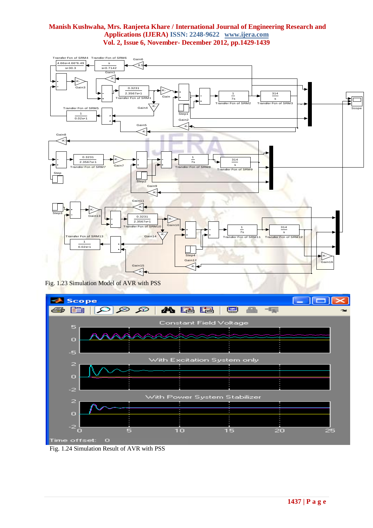

Fig. 1.23 Simulation Model of AVR with PSS



Fig. 1.24 Simulation Result of AVR with PSS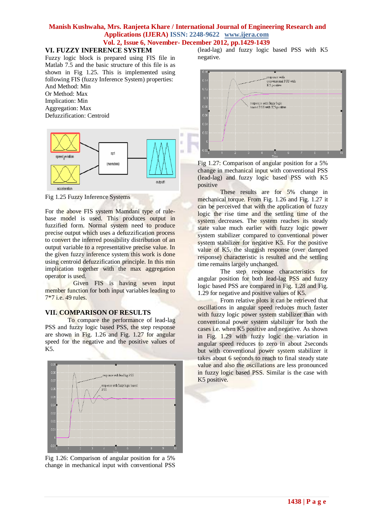## **VI. FUZZY INFERENCE SYSTEM**

Fuzzy logic block is prepared using FIS file in Matlab 7.5 and the basic structure of this file is as shown in Fig 1.25. This is implemented using following FIS (fuzzy Inference System) properties: And Method: Min

Or Method: Max Implication: Min Aggregation: Max Defuzzification: Centroid



Fig 1.25 Fuzzy Inference Systems

For the above FIS system Mamdani type of rulebase model is used. This produces output in fuzzified form. Normal system need to produce precise output which uses a defuzzification process to convert the inferred possibility distribution of an output variable to a representative precise value. In the given fuzzy inference system this work is done using centroid defuzzification principle. In this min implication together with the max aggregation operator is used.

 Given FIS is having seven input member function for both input variables leading to 7\*7 i.e. 49 rules.

# **VII. COMPARISON OF RESULTS**

To compare the performance of lead-lag PSS and fuzzy logic based PSS, the step response are shown in Fig. 1.26 and Fig. 1.27 for angular speed for the negative and the positive values of K5.



Fig 1.26: Comparison of angular position for a 5% change in mechanical input with conventional PSS

(lead-lag) and fuzzy logic based PSS with K5 negative.



Fig 1.27: Comparison of angular position for a 5% change in mechanical input with conventional PSS (lead-lag) and fuzzy logic based PSS with K5 positive

These results are for 5% change in mechanical torque. From Fig. 1.26 and Fig. 1.27 it can be perceived that with the application of fuzzy logic the rise time and the settling time of the system decreases. The system reaches its steady state value much earlier with fuzzy logic power system stabilizer compared to conventional power system stabilizer for negative K5. For the positive value of K5, the sluggish response (over damped response) characteristic is resulted and the settling time remains largely unchanged.

The step response characteristics for angular position for both lead-lag PSS and fuzzy logic based PSS are compared in Fig. 1.28 and Fig. 1.29 for negative and positive values of K5.

From relative plots it can be retrieved that oscillations in angular speed reduces much faster with fuzzy logic power system stabilizer than with conventional power system stabilizer for both the cases i.e. when K5 positive and negative. As shown in Fig. 1.29 with fuzzy logic the variation in angular speed reduces to zero in about 2seconds but with conventional power system stabilizer it takes about 6 seconds to reach to final steady state value and also the oscillations are less pronounced in fuzzy logic based PSS. Similar is the case with K5 positive.